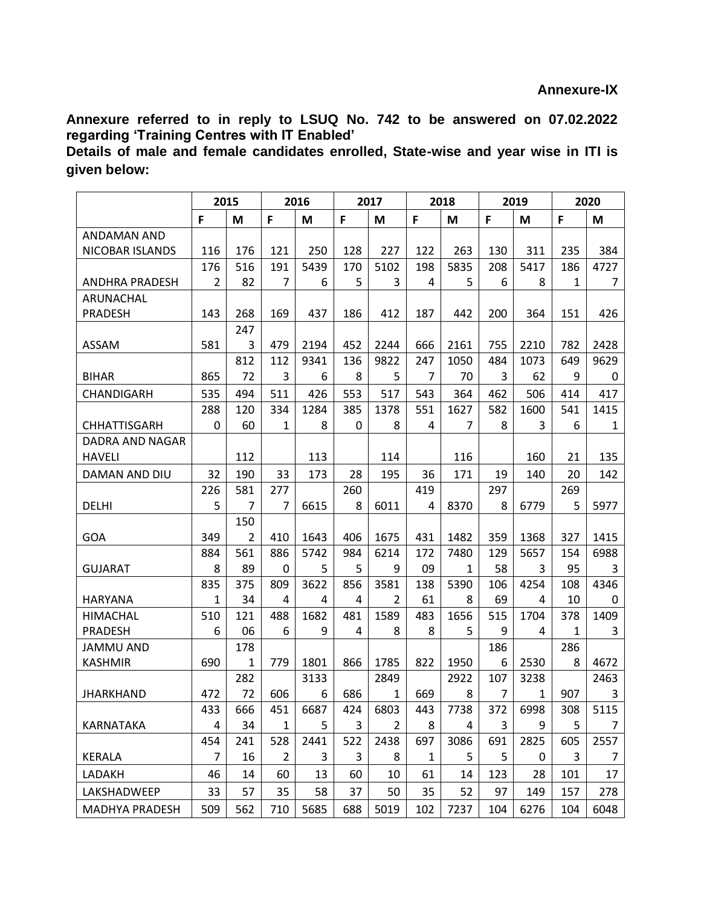**Annexure referred to in reply to LSUQ No. 742 to be answered on 07.02.2022 regarding 'Training Centres with IT Enabled'**

**Details of male and female candidates enrolled, State-wise and year wise in ITI is given below:**

|                        | 2015 |                | 2016         |      | 2017 |                | 2018           |      | 2019 |      | 2020 |              |
|------------------------|------|----------------|--------------|------|------|----------------|----------------|------|------|------|------|--------------|
|                        | F    | M              | F            | M    | F    | M              | F              | M    | F    | M    | F    | M            |
| ANDAMAN AND            |      |                |              |      |      |                |                |      |      |      |      |              |
| NICOBAR ISLANDS        | 116  | 176            | 121          | 250  | 128  | 227            | 122            | 263  | 130  | 311  | 235  | 384          |
|                        | 176  | 516            | 191          | 5439 | 170  | 5102           | 198            | 5835 | 208  | 5417 | 186  | 4727         |
| <b>ANDHRA PRADESH</b>  | 2    | 82             | 7            | 6    | 5    | 3              | 4              | 5    | 6    | 8    | 1    | 7            |
| ARUNACHAL              |      |                |              |      |      |                |                |      |      |      |      |              |
| <b>PRADESH</b>         | 143  | 268            | 169          | 437  | 186  | 412            | 187            | 442  | 200  | 364  | 151  | 426          |
|                        |      | 247            |              |      |      |                |                |      |      |      |      |              |
| ASSAM                  | 581  | 3              | 479          | 2194 | 452  | 2244           | 666            | 2161 | 755  | 2210 | 782  | 2428         |
|                        |      | 812            | 112          | 9341 | 136  | 9822           | 247            | 1050 | 484  | 1073 | 649  | 9629         |
| <b>BIHAR</b>           | 865  | 72             | 3            | 6    | 8    | 5              | $\overline{7}$ | 70   | 3    | 62   | 9    | 0            |
| CHANDIGARH             | 535  | 494            | 511          | 426  | 553  | 517            | 543            | 364  | 462  | 506  | 414  | 417          |
|                        | 288  | 120            | 334          | 1284 | 385  | 1378           | 551            | 1627 | 582  | 1600 | 541  | 1415         |
| CHHATTISGARH           | 0    | 60             | 1            | 8    | 0    | 8              | 4              | 7    | 8    | 3    | 6    | $\mathbf{1}$ |
| <b>DADRA AND NAGAR</b> |      |                |              |      |      |                |                |      |      |      |      |              |
| <b>HAVELI</b>          |      | 112            |              | 113  |      | 114            |                | 116  |      | 160  | 21   | 135          |
| DAMAN AND DIU          | 32   | 190            | 33           | 173  | 28   | 195            | 36             | 171  | 19   | 140  | 20   | 142          |
|                        | 226  | 581            | 277          |      | 260  |                | 419            |      | 297  |      | 269  |              |
| <b>DELHI</b>           | 5    | 7              | 7            | 6615 | 8    | 6011           | 4              | 8370 | 8    | 6779 | 5    | 5977         |
|                        |      | 150            |              |      |      |                |                |      |      |      |      |              |
| <b>GOA</b>             | 349  | $\overline{2}$ | 410          | 1643 | 406  | 1675           | 431            | 1482 | 359  | 1368 | 327  | 1415         |
|                        | 884  | 561            | 886          | 5742 | 984  | 6214           | 172            | 7480 | 129  | 5657 | 154  | 6988         |
| <b>GUJARAT</b>         | 8    | 89             | 0            | 5    | 5    | 9              | 09             | 1    | 58   | 3    | 95   | 3            |
|                        | 835  | 375            | 809          | 3622 | 856  | 3581           | 138            | 5390 | 106  | 4254 | 108  | 4346         |
| <b>HARYANA</b>         | 1    | 34             | 4            | 4    | 4    | 2              | 61             | 8    | 69   | 4    | 10   | 0            |
| <b>HIMACHAL</b>        | 510  | 121            | 488          | 1682 | 481  | 1589           | 483            | 1656 | 515  | 1704 | 378  | 1409         |
| <b>PRADESH</b>         | 6    | 06             | 6            | 9    | 4    | 8              | 8              | 5    | 9    | 4    | 1    | 3            |
| <b>JAMMU AND</b>       |      | 178            |              |      |      |                |                |      | 186  |      | 286  |              |
| <b>KASHMIR</b>         | 690  | 1              | 779          | 1801 | 866  | 1785           | 822            | 1950 | 6    | 2530 | 8    | 4672         |
|                        |      | 282            |              | 3133 |      | 2849           |                | 2922 | 107  | 3238 |      | 2463         |
| <b>JHARKHAND</b>       | 472  | 72             | 606          | 6    | 686  | 1              | 669            | 8    | 7    | 1    | 907  | 3            |
|                        | 433  | 666            | 451          | 6687 | 424  | 6803           | 443            | 7738 | 372  | 6998 | 308  | 5115         |
| <b>KARNATAKA</b>       | 4    | 34             | $\mathbf{1}$ | 5    | 3    | $\overline{2}$ | 8              | 4    | 3    | 9    | 5    | 7            |
|                        | 454  | 241            | 528          | 2441 | 522  | 2438           | 697            | 3086 | 691  | 2825 | 605  | 2557         |
| <b>KERALA</b>          | 7    | 16             | 2            | 3    | 3    | 8              | 1              | 5    | 5    | 0    | 3    | 7            |
| LADAKH                 | 46   | 14             | 60           | 13   | 60   | 10             | 61             | 14   | 123  | 28   | 101  | 17           |
| LAKSHADWEEP            | 33   | 57             | 35           | 58   | 37   | 50             | 35             | 52   | 97   | 149  | 157  | 278          |
| MADHYA PRADESH         | 509  | 562            | 710          | 5685 | 688  | 5019           | 102            | 7237 | 104  | 6276 | 104  | 6048         |